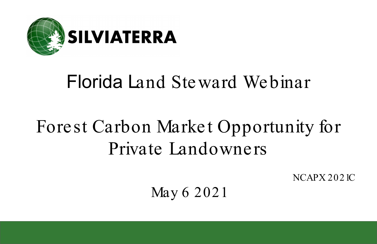

# Florida Land Steward Webinar

# Forest Carbon Market Opportunity for Private Landowners

NCAPX 2021C

May 6 2021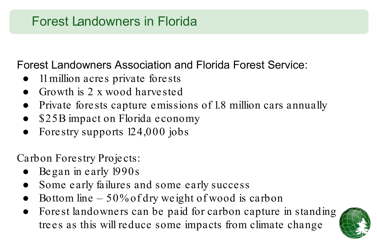### Forest Landowners in Florida

### Forest Landowners Association and Florida Forest Service:

- 11 million acres private forests
- Growth is 2 x wood harvested
- Private forests capture emissions of 1.8 million cars annually
- \$25B impact on Florida economy
- Forestry supports  $124,000$  jobs

Carbon Forestry Projects:

- Began in early 1990s
- Some early failures and some early success
- Bottom line  $-50\%$  of dry weight of wood is carbon
- Forest landowners can be paid for carbon capture in standing trees as this will reduce some impacts from climate change

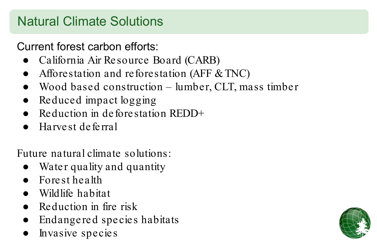## Natural Climate Solutions

Current forest carbon efforts:

- California Air Resource Board (CARB)
- Afforestation and reforestation (AFF & TNC)
- Wood based construction lumber, CLT, mass timber
- Reduced impact logging
- Reduction in deforestation REDD+
- Harvest deferral

Future natural climate solutions:

- Water quality and quantity
- Forest health
- Wildlife habitat
- $\bullet$  Reduction in fire risk
- Endangered species habitats
- Invasive species

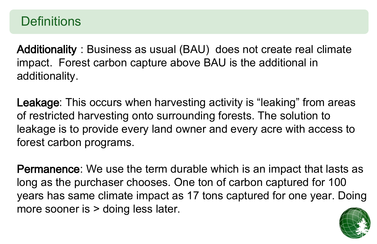### **Definitions**

Additionality : Business as usual (BAU) does not create real climate impact. Forest carbon capture above BAU is the additional in additionality.

Leakage: This occurs when harvesting activity is "leaking" from areas of restricted harvesting onto surrounding forests. The solution to leakage is to provide every land owner and every acre with access to forest carbon programs.

Permanence: We use the term durable which is an impact that lasts as long as the purchaser chooses. One ton of carbon captured for 100 years has same climate impact as 17 tons captured for one year. Doing more sooner is  $>$  doing less later.

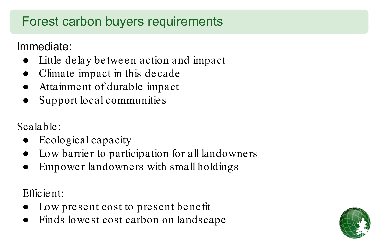# Forest carbon buyers requirements

Immediate:

- Little delay between action and impact
- Climate impact in this decade
- Attainment of durable impact
- Support local communities

Scalable:

- Ecological capacity
- Low barrier to participation for all landowners
- Empower landowners with small holdings

Efficient:

- Low present cost to present benefit
- Finds lowest cost carbon on landscape

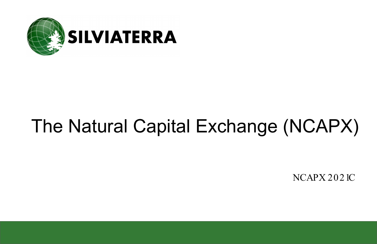

# The Natural Capital Exchange (NCAPX)

NCAPX 2021C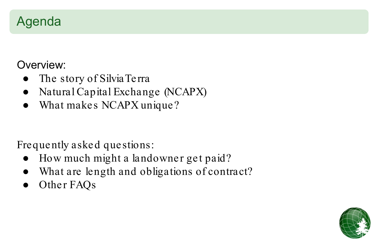### Agenda

### Overview:

- The story of SilviaTerra
- Natural Capital Exchange (NCAPX)
- What makes NCAPX unique?

### Frequently asked questions:

- How much might a landowner get paid?
- What are length and obligations of contract?
- Other FAQs

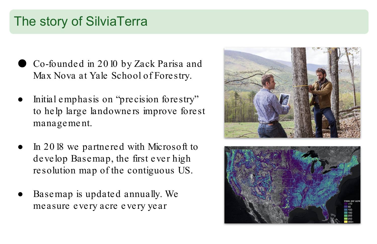### The story of SilviaTerra

- Co-founded in 2010 by Zack Parisa and Max Nova at Yale School of Forestry.
- Initial emphasis on "precision forestry" to help large landowners improve forest management.
- In 2018 we partnered with Microsoft to develop Basemap, the first ever high resolution map of the contiguous US.
- Basemap is updated annually. We measure every acre every year



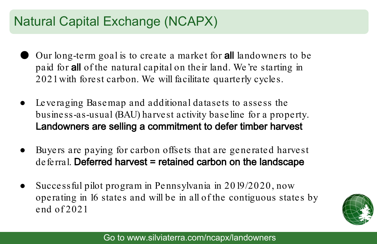## Natural Capital Exchange (NCAPX)

- Our long-term goal is to create a market for **all** landowners to be paid for all of the natural capital on their land. We're starting in 2021 with forest carbon. We will facilitate quarterly cycles.
- Leveraging Basemap and additional datasets to assess the business-as-usual (BAU) harvest activity baseline for a property. Landowners are selling a commitment to defer timber harvest
- Buyers are paying for carbon offsets that are generated harvest  $deferral.$  Deferred harvest = retained carbon on the landscape
- Successful pilot program in Pennsylvania in  $2019/2020$ , now operating in 16 states and will be in all of the contiguous states by end of 2021

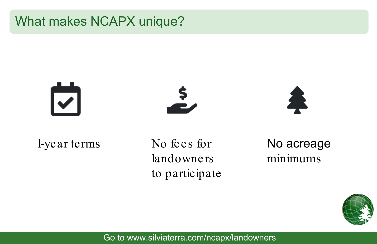### What makes NCAPX unique?

# $\overline{\mathbf{v}}$





1-year terms

No fees for landowners to participate

No acreage minimums



Go to www.silviaterra.com/ncapx/landowners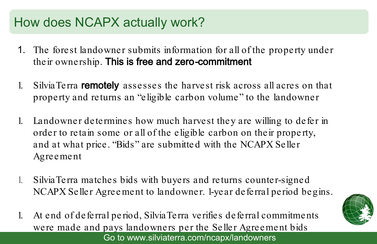### How does NCAPX actually work?

- 1. The forest landowner submits information for all of the property under their ownership. This is free and zero-commitment
- 1. SilviaTerra remotely assesses the harvest risk across all acres on that property and returns an "eligible carbon volume" to the landowner
- 1. Landowner determines how much harvest they are willing to defer in order to retain some or all of the eligible carbon on their property, and at what price. "Bids" are submitte d with the NCAPX Seller Agreement
- 1. SilviaTerra matches bids with buyers and returns counter-signed NCAPX Seller Agreement to landowner. 1-year deferral period begins.
- 1. At end of deferral period, SilviaTerra verifies deferral commitments were made and pays landowners per the Seller Agreement bids Go to www.silviaterra.com/ncapx/landowners

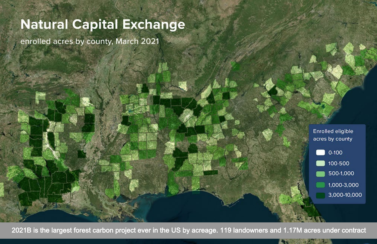### **Natural Capital Exchange**

enrolled acres by county, March 2021

**Enrolled eligible** acres by county  $0 - 100$ 100-500 500-1,000 1,000-3,000 3,000-10,000

2021B is the largest forest carbon project ever in the US by acreage. 119 landowners and 1.17M acres under contract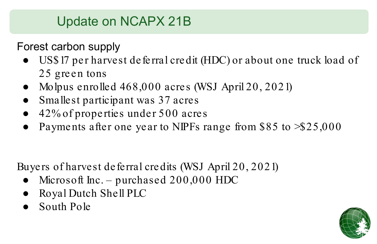# Update on NCAPX 21B

Forest carbon supply

- US\$17 per harvest deferral credit (HDC) or about one truck load of 25 green tons
- Molpus enrolled 468,000 acres (WSJ April 20, 2021)
- Smallest participant was 37 acres
- $42\%$  of properties under 500 acres
- Payments after one year to NIPFs range from \$85 to  $\textdegree$ \$25,000

Buyers of harvest deferral credits (WSJ April 20, 2021)

- Microsoft Inc. purchased  $200,000$  HDC
- Royal Dutch Shell PLC
- South Pole

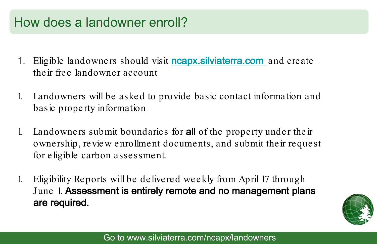### How does a landowner enroll?

- 1. Eligible landowners should visit **[ncapx.silviaterra.com](http://ncapx.silviaterra.com)** and create their free landowner account
- 1. Landowners will be asked to provide basic contact information and basic property information
- 1. Landowners submit boundaries for **all** of the property under their ownership, review enrollment documents, and submit their request for eligible carbon assessment.
- 1. Eligibility Reports will be delivered weekly from April 17 through June 1. Assessment is entirely remote and no management plans are required.

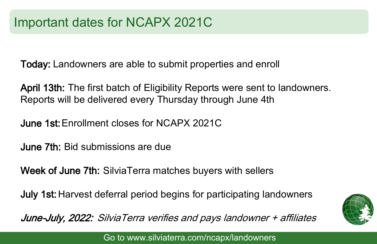Today: Landowners are able to submit properties and enroll

April 13th: The first batch of Eligibility Reports were sent to landowners. Reports will be delivered every Thursday through June 4th

June 1st: Enrollment closes for NCAPX 2021C

June 7th: Bid submissions are due

Week of June 7th: SilviaTerra matches buyers with sellers

July 1st: Harvest deferral period begins for participating landowners

June-July, 2022: SilviaTerra verifies and pays landowner + affiliates



Go to www.silviaterra.com/ncapx/landowners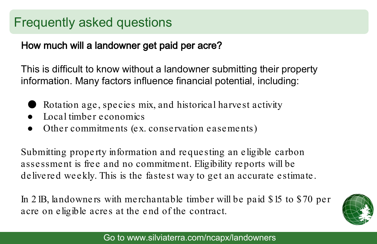### Frequently asked questions

### How much will a landowner get paid per acre?

This is difficult to know without a landowner submitting their property information. Many factors influence financial potential, including:

- Rotation age, species mix, and historical harvest activity
- Local timber economics
- Other commitments (ex. conservation easements)

Submitting property information and requesting an eligible carbon assessment is free and no commitment. Eligibility reports will be delivered weekly. This is the fastest way to get an accurate estimate.

In 21B, landowners with merchantable timber will be paid \$15 to \$70 per acre on eligible acres at the end of the contract.

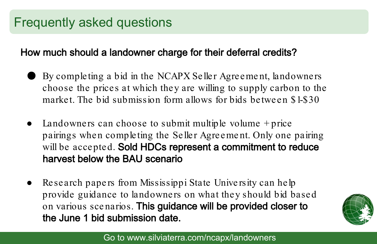### How much should a landowner charge for their deferral credits?

- By completing a bid in the NCAPX Seller Agreement, landowners choose the prices at which they are willing to supply carbon to the market. The bid submission form allows for bids between \$1-\$30
- Landowners can choose to submit multiple volume  $+$  price pairings when completing the Seller Agreement. Only one pairing will be accepted. Sold HDCs represent a commitment to reduce harvest below the BAU scenario
- Research papers from Mississippi State University can help provide guidance to landowners on what they should bid based on various scenarios. This guidance will be provided closer to the June 1 bid submission date.

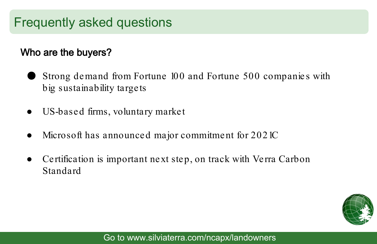### Frequently asked questions

### Who are the buyers?

- Strong demand from Fortune 100 and Fortune 500 companies with big sustainability targets
- US-based firms, voluntary market
- Microsoft has announced major commitment for 2021C
- Certification is important next step, on track with Verra Carbon Standard

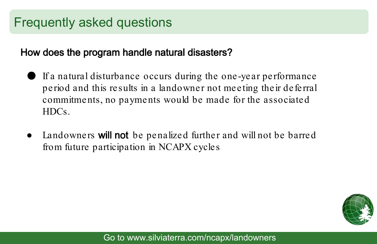### Frequently asked questions

#### How does the program handle natural disasters?

- If a natural disturbance occurs during the one-year performance period and this results in a landowner not meeting their deferral commitments, no payments would be made for the associated HDCs.
- Landowners **will not** be penalized further and will not be barred from future participation in NCAPX cycles